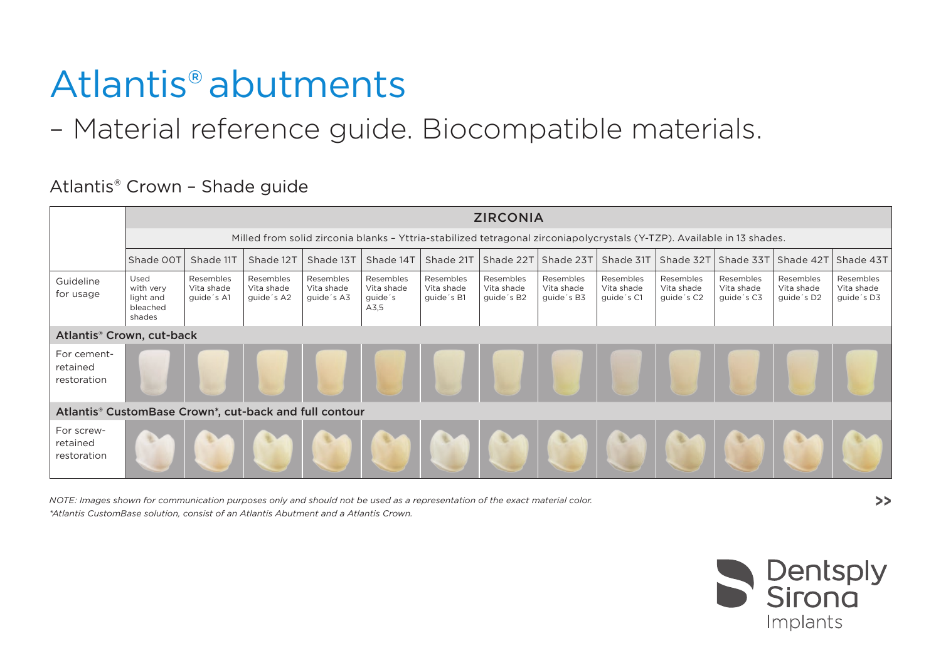## Atlantis®abutments

– Material reference guide. Biocompatible materials.

|                                                        | <b>ZIRCONIA</b>                                                                                                        |                                       |                                       |                                       |                                            |                                       |                                       |                                       |                                       |                                       |                                       |                                       |                                       |
|--------------------------------------------------------|------------------------------------------------------------------------------------------------------------------------|---------------------------------------|---------------------------------------|---------------------------------------|--------------------------------------------|---------------------------------------|---------------------------------------|---------------------------------------|---------------------------------------|---------------------------------------|---------------------------------------|---------------------------------------|---------------------------------------|
|                                                        | Milled from solid zirconia blanks - Yttria-stabilized tetragonal zirconiapolycrystals (Y-TZP). Available in 13 shades. |                                       |                                       |                                       |                                            |                                       |                                       |                                       |                                       |                                       |                                       |                                       |                                       |
|                                                        | Shade OOT                                                                                                              | Shade 11T                             | Shade 12T                             | Shade 13T                             | Shade 14T                                  | Shade 21T                             | Shade 22T                             | Shade 23T                             | Shade 31T                             | Shade 32T Shade 33T Shade 42T         |                                       |                                       | Shade 43T                             |
| Guideline<br>for usage                                 | Used<br>with very<br>light and<br>bleached<br>shades                                                                   | Resembles<br>Vita shade<br>guide's A1 | Resembles<br>Vita shade<br>guide's A2 | Resembles<br>Vita shade<br>guide's A3 | Resembles<br>Vita shade<br>guide's<br>A3,5 | Resembles<br>Vita shade<br>guide's B1 | Resembles<br>Vita shade<br>guide's B2 | Resembles<br>Vita shade<br>guide's B3 | Resembles<br>Vita shade<br>guide's C1 | Resembles<br>Vita shade<br>guide's C2 | Resembles<br>Vita shade<br>guide's C3 | Resembles<br>Vita shade<br>guide's D2 | Resembles<br>Vita shade<br>guide's D3 |
| Atlantis® Crown, cut-back                              |                                                                                                                        |                                       |                                       |                                       |                                            |                                       |                                       |                                       |                                       |                                       |                                       |                                       |                                       |
| For cement-<br>retained<br>restoration                 |                                                                                                                        |                                       |                                       |                                       |                                            |                                       |                                       |                                       |                                       |                                       |                                       |                                       |                                       |
| Atlantis® CustomBase Crown*, cut-back and full contour |                                                                                                                        |                                       |                                       |                                       |                                            |                                       |                                       |                                       |                                       |                                       |                                       |                                       |                                       |
| For screw-<br>retained<br>restoration                  |                                                                                                                        |                                       |                                       |                                       |                                            |                                       |                                       |                                       |                                       |                                       |                                       |                                       |                                       |

Atlantis® Crown – Shade guide

*NOTE: Images shown for communication purposes only and should not be used as a representation of the exact material color. \*Atlantis CustomBase solution, consist of an Atlantis Abutment and a Atlantis Crown.*



**>>**